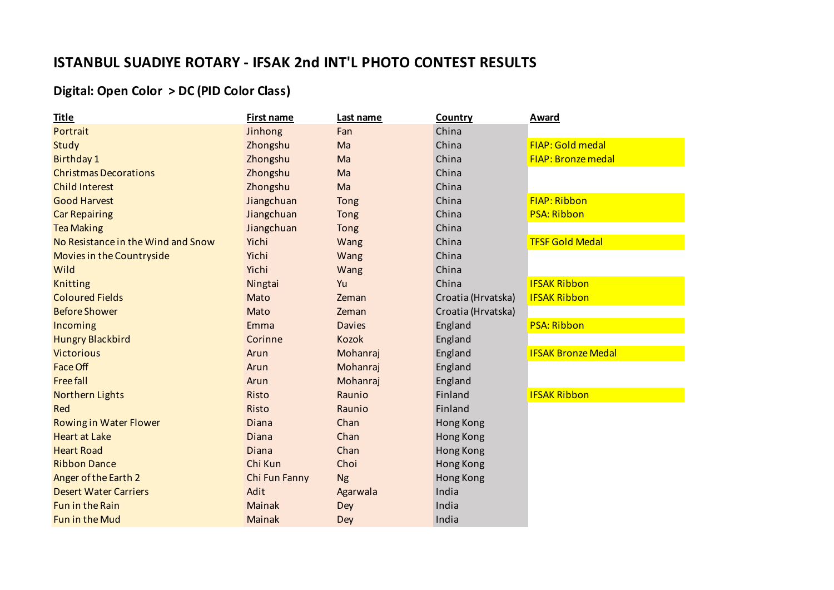## **ISTANBUL SUADIYE ROTARY - IFSAK 2nd INT'L PHOTO CONTEST RESULTS**

## **Digital: Open Color > DC (PID Color Class)**

| <b>Title</b>                       | <b>First name</b> | Last name     | Country            | <b>Award</b>              |
|------------------------------------|-------------------|---------------|--------------------|---------------------------|
| Portrait                           | Jinhong           | Fan           | China              |                           |
| Study                              | Zhongshu          | Ma            | China              | <b>FIAP: Gold medal</b>   |
| <b>Birthday 1</b>                  | Zhongshu          | Ma            | China              | <b>FIAP: Bronze medal</b> |
| <b>Christmas Decorations</b>       | Zhongshu          | Ma            | China              |                           |
| <b>Child Interest</b>              | Zhongshu          | Ma            | China              |                           |
| <b>Good Harvest</b>                | Jiangchuan        | Tong          | China              | <b>FIAP: Ribbon</b>       |
| <b>Car Repairing</b>               | Jiangchuan        | Tong          | China              | <b>PSA: Ribbon</b>        |
| <b>Tea Making</b>                  | Jiangchuan        | Tong          | China              |                           |
| No Resistance in the Wind and Snow | Yichi             | Wang          | China              | <b>TFSF Gold Medal</b>    |
| Movies in the Countryside          | Yichi             | Wang          | China              |                           |
| Wild                               | Yichi             | Wang          | China              |                           |
| <b>Knitting</b>                    | Ningtai           | Yu            | China              | <b>IFSAK Ribbon</b>       |
| <b>Coloured Fields</b>             | Mato              | Zeman         | Croatia (Hrvatska) | <b>IFSAK Ribbon</b>       |
| <b>Before Shower</b>               | Mato              | Zeman         | Croatia (Hrvatska) |                           |
| Incoming                           | Emma              | <b>Davies</b> | England            | <b>PSA: Ribbon</b>        |
| <b>Hungry Blackbird</b>            | Corinne           | Kozok         | England            |                           |
| <b>Victorious</b>                  | Arun              | Mohanraj      | England            | <b>IFSAK Bronze Medal</b> |
| <b>Face Off</b>                    | Arun              | Mohanraj      | England            |                           |
| <b>Free fall</b>                   | Arun              | Mohanraj      | England            |                           |
| <b>Northern Lights</b>             | Risto             | Raunio        | Finland            | <b>IFSAK Ribbon</b>       |
| Red                                | Risto             | Raunio        | Finland            |                           |
| <b>Rowing in Water Flower</b>      | Diana             | Chan          | Hong Kong          |                           |
| <b>Heart at Lake</b>               | Diana             | Chan          | Hong Kong          |                           |
| <b>Heart Road</b>                  | Diana             | Chan          | Hong Kong          |                           |
| <b>Ribbon Dance</b>                | Chi Kun           | Choi          | Hong Kong          |                           |
| Anger of the Earth 2               | Chi Fun Fanny     | <b>Ng</b>     | Hong Kong          |                           |
| <b>Desert Water Carriers</b>       | Adit              | Agarwala      | India              |                           |
| <b>Fun in the Rain</b>             | <b>Mainak</b>     | Dey           | India              |                           |
| <b>Fun in the Mud</b>              | <b>Mainak</b>     | Dey           | India              |                           |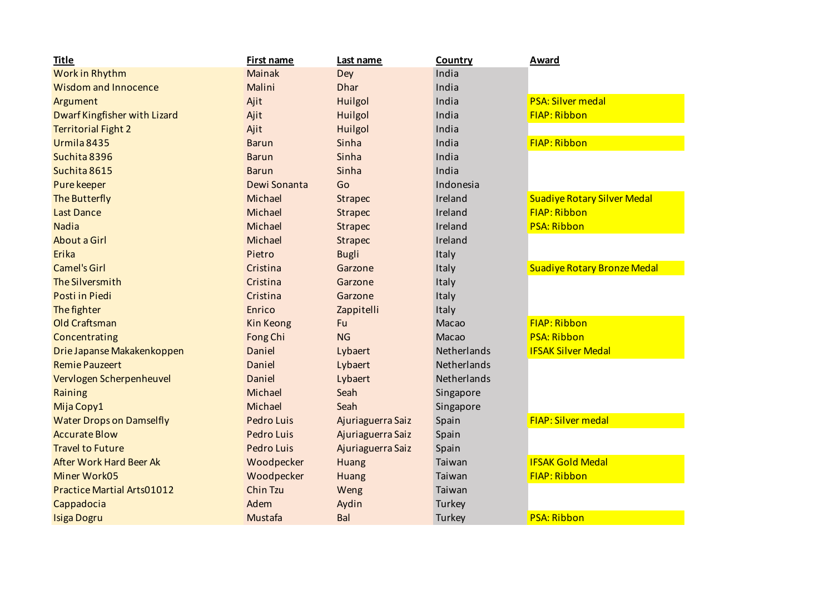| <b>Title</b>                      | <b>First name</b> | Last name         | Country     | <b>Award</b>                       |
|-----------------------------------|-------------------|-------------------|-------------|------------------------------------|
| Work in Rhythm                    | <b>Mainak</b>     | Dey               | India       |                                    |
| <b>Wisdom and Innocence</b>       | Malini            | <b>Dhar</b>       | India       |                                    |
| Argument                          | Ajit              | Huilgol           | India       | <b>PSA: Silver medal</b>           |
| Dwarf Kingfisher with Lizard      | Ajit              | Huilgol           | India       | <b>FIAP: Ribbon</b>                |
| <b>Territorial Fight 2</b>        | Ajit              | Huilgol           | India       |                                    |
| Urmila 8435                       | <b>Barun</b>      | Sinha             | India       | <b>FIAP: Ribbon</b>                |
| Suchita 8396                      | <b>Barun</b>      | Sinha             | India       |                                    |
| Suchita 8615                      | <b>Barun</b>      | Sinha             | India       |                                    |
| Pure keeper                       | Dewi Sonanta      | Go                | Indonesia   |                                    |
| The Butterfly                     | Michael           | <b>Strapec</b>    | Ireland     | <b>Suadiye Rotary Silver Medal</b> |
| <b>Last Dance</b>                 | Michael           | <b>Strapec</b>    | Ireland     | <b>FIAP: Ribbon</b>                |
| <b>Nadia</b>                      | Michael           | <b>Strapec</b>    | Ireland     | <b>PSA: Ribbon</b>                 |
| <b>About a Girl</b>               | Michael           | Strapec           | Ireland     |                                    |
| Erika                             | Pietro            | <b>Bugli</b>      | Italy       |                                    |
| <b>Camel's Girl</b>               | Cristina          | Garzone           | Italy       | <b>Suadiye Rotary Bronze Medal</b> |
| The Silversmith                   | Cristina          | Garzone           | Italy       |                                    |
| <b>Posti in Piedi</b>             | Cristina          | Garzone           | Italy       |                                    |
| The fighter                       | Enrico            | Zappitelli        | Italy       |                                    |
| <b>Old Craftsman</b>              | Kin Keong         | Fu                | Macao       | <b>FIAP: Ribbon</b>                |
| Concentrating                     | Fong Chi          | <b>NG</b>         | Macao       | <b>PSA: Ribbon</b>                 |
| Drie Japanse Makakenkoppen        | Daniel            | Lybaert           | Netherlands | <b>IFSAK Silver Medal</b>          |
| <b>Remie Pauzeert</b>             | Daniel            | Lybaert           | Netherlands |                                    |
| Vervlogen Scherpenheuvel          | Daniel            | Lybaert           | Netherlands |                                    |
| Raining                           | Michael           | Seah              | Singapore   |                                    |
| Mija Copy1                        | Michael           | Seah              | Singapore   |                                    |
| <b>Water Drops on Damselfly</b>   | <b>Pedro Luis</b> | Ajuriaguerra Saiz | Spain       | <b>FIAP: Silver medal</b>          |
| <b>Accurate Blow</b>              | Pedro Luis        | Ajuriaguerra Saiz | Spain       |                                    |
| <b>Travel to Future</b>           | <b>Pedro Luis</b> | Ajuriaguerra Saiz | Spain       |                                    |
| <b>After Work Hard Beer Ak</b>    | Woodpecker        | Huang             | Taiwan      | <b>IFSAK Gold Medal</b>            |
| <b>Miner Work05</b>               | Woodpecker        | Huang             | Taiwan      | <b>FIAP: Ribbon</b>                |
| <b>Practice Martial Arts01012</b> | Chin Tzu          | Weng              | Taiwan      |                                    |
| Cappadocia                        | Adem              | Aydin             | Turkey      |                                    |
| <b>Isiga Dogru</b>                | Mustafa           | Bal               | Turkey      | <b>PSA: Ribbon</b>                 |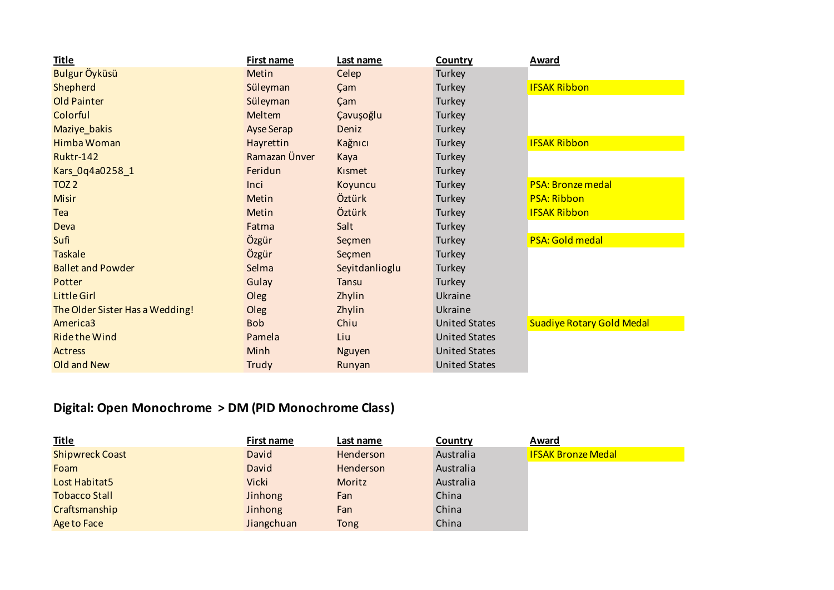| <b>Title</b>                    | First name        | Last name      | <b>Country</b>       | <b>Award</b>                     |
|---------------------------------|-------------------|----------------|----------------------|----------------------------------|
| Bulgur Öyküsü                   | Metin             | Celep          | Turkey               |                                  |
| Shepherd                        | Süleyman          | Çam            | Turkey               | <b>IFSAK Ribbon</b>              |
| Old Painter                     | Süleyman          | Çam            | Turkey               |                                  |
| Colorful                        | Meltem            | Çavuşoğlu      | Turkey               |                                  |
| Maziye_bakis                    | <b>Ayse Serap</b> | Deniz          | Turkey               |                                  |
| Himba Woman                     | Hayrettin         | Kağnıcı        | Turkey               | <b>IFSAK Ribbon</b>              |
| <b>Ruktr-142</b>                | Ramazan Ünver     | Kaya           | Turkey               |                                  |
| Kars_0q4a0258_1                 | Feridun           | Kismet         | Turkey               |                                  |
| TOZ <sub>2</sub>                | Inci              | Koyuncu        | Turkey               | <b>PSA: Bronze medal</b>         |
| <b>Misir</b>                    | Metin             | Öztürk         | Turkey               | <b>PSA: Ribbon</b>               |
| Tea                             | Metin             | Öztürk         | Turkey               | <b>IFSAK Ribbon</b>              |
| Deva                            | Fatma             | Salt           | Turkey               |                                  |
| Sufi                            | Özgür             | Seçmen         | Turkey               | <b>PSA: Gold medal</b>           |
| <b>Taskale</b>                  | Özgür             | Seçmen         | Turkey               |                                  |
| <b>Ballet and Powder</b>        | Selma             | Seyitdanlioglu | Turkey               |                                  |
| Potter                          | Gulay             | <b>Tansu</b>   | Turkey               |                                  |
| <b>Little Girl</b>              | Oleg              | Zhylin         | Ukraine              |                                  |
| The Older Sister Has a Wedding! | Oleg              | Zhylin         | Ukraine              |                                  |
| America3                        | <b>Bob</b>        | Chiu           | <b>United States</b> | <b>Suadiye Rotary Gold Medal</b> |
| <b>Ride the Wind</b>            | Pamela            | Liu            | <b>United States</b> |                                  |
| Actress                         | Minh              | <b>Nguyen</b>  | <b>United States</b> |                                  |
| Old and New                     | Trudy             | Runyan         | <b>United States</b> |                                  |

## **Digital: Open Monochrome > DM (PID Monochrome Class)**

| <b>Title</b>           | First name | Last name   | Country   | Award                     |
|------------------------|------------|-------------|-----------|---------------------------|
| <b>Shipwreck Coast</b> | David      | Henderson   | Australia | <b>IFSAK Bronze Medal</b> |
| Foam                   | David      | Henderson   | Australia |                           |
| Lost Habitat5          | Vicki      | Moritz      | Australia |                           |
| <b>Tobacco Stall</b>   | Jinhong    | Fan         | China     |                           |
| Craftsmanship          | Jinhong    | Fan         | China     |                           |
| Age to Face            | Jiangchuan | <b>Tong</b> | China     |                           |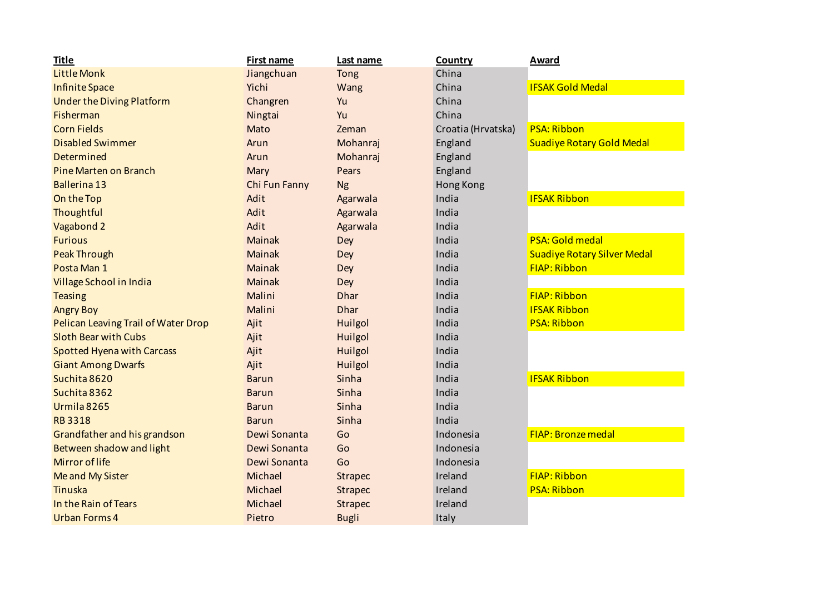| <b>Title</b>                        | <b>First name</b> | Last name      | Country            | <b>Award</b>                       |
|-------------------------------------|-------------------|----------------|--------------------|------------------------------------|
| <b>Little Monk</b>                  | Jiangchuan        | Tong           | China              |                                    |
| <b>Infinite Space</b>               | Yichi             | Wang           | China              | <b>IFSAK Gold Medal</b>            |
| <b>Under the Diving Platform</b>    | Changren          | Yu             | China              |                                    |
| Fisherman                           | Ningtai           | Yu             | China              |                                    |
| <b>Corn Fields</b>                  | Mato              | Zeman          | Croatia (Hrvatska) | <b>PSA: Ribbon</b>                 |
| <b>Disabled Swimmer</b>             | Arun              | Mohanraj       | England            | <b>Suadiye Rotary Gold Medal</b>   |
| Determined                          | Arun              | Mohanraj       | England            |                                    |
| <b>Pine Marten on Branch</b>        | Mary              | Pears          | England            |                                    |
| <b>Ballerina 13</b>                 | Chi Fun Fanny     | <b>Ng</b>      | Hong Kong          |                                    |
| On the Top                          | Adit              | Agarwala       | India              | <b>IFSAK Ribbon</b>                |
| Thoughtful                          | Adit              | Agarwala       | India              |                                    |
| Vagabond 2                          | Adit              | Agarwala       | India              |                                    |
| <b>Furious</b>                      | Mainak            | Dey            | India              | <b>PSA: Gold medal</b>             |
| <b>Peak Through</b>                 | <b>Mainak</b>     | Dey            | India              | <b>Suadiye Rotary Silver Medal</b> |
| Posta Man 1                         | Mainak            | Dey            | India              | <b>FIAP: Ribbon</b>                |
| Village School in India             | Mainak            | Dey            | India              |                                    |
| <b>Teasing</b>                      | Malini            | <b>Dhar</b>    | India              | <b>FIAP: Ribbon</b>                |
| <b>Angry Boy</b>                    | Malini            | <b>Dhar</b>    | India              | <b>IFSAK Ribbon</b>                |
| Pelican Leaving Trail of Water Drop | Ajit              | Huilgol        | India              | <b>PSA: Ribbon</b>                 |
| <b>Sloth Bear with Cubs</b>         | Ajit              | Huilgol        | India              |                                    |
| <b>Spotted Hyena with Carcass</b>   | Ajit              | Huilgol        | India              |                                    |
| <b>Giant Among Dwarfs</b>           | Ajit              | Huilgol        | India              |                                    |
| Suchita 8620                        | <b>Barun</b>      | Sinha          | India              | <b>IFSAK Ribbon</b>                |
| Suchita 8362                        | <b>Barun</b>      | Sinha          | India              |                                    |
| Urmila 8265                         | <b>Barun</b>      | Sinha          | India              |                                    |
| <b>RB3318</b>                       | <b>Barun</b>      | Sinha          | India              |                                    |
| Grandfather and his grandson        | Dewi Sonanta      | Go             | Indonesia          | <b>FIAP: Bronze medal</b>          |
| Between shadow and light            | Dewi Sonanta      | Go             | Indonesia          |                                    |
| Mirror of life                      | Dewi Sonanta      | Go             | Indonesia          |                                    |
| Me and My Sister                    | Michael           | <b>Strapec</b> | Ireland            | <b>FIAP: Ribbon</b>                |
| Tinuska                             | Michael           | <b>Strapec</b> | Ireland            | <b>PSA: Ribbon</b>                 |
| In the Rain of Tears                | Michael           | <b>Strapec</b> | Ireland            |                                    |
| <b>Urban Forms 4</b>                | Pietro            | <b>Bugli</b>   | Italy              |                                    |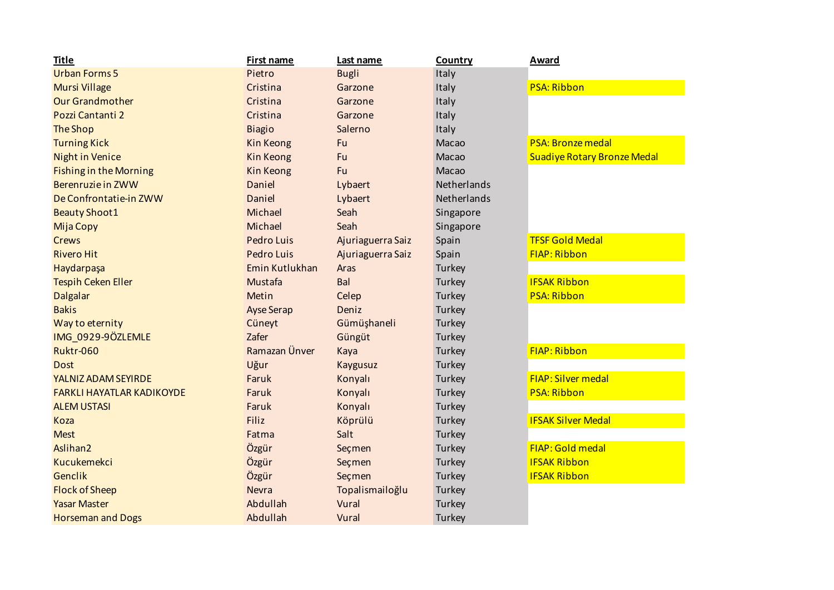| <b>Title</b>                     | First name        | Last name         | Country     | <b>Award</b>                       |
|----------------------------------|-------------------|-------------------|-------------|------------------------------------|
| <b>Urban Forms 5</b>             | Pietro            | <b>Bugli</b>      | Italy       |                                    |
| <b>Mursi Village</b>             | Cristina          | Garzone           | Italy       | <b>PSA: Ribbon</b>                 |
| <b>Our Grandmother</b>           | Cristina          | Garzone           | Italy       |                                    |
| Pozzi Cantanti 2                 | Cristina          | Garzone           | Italy       |                                    |
| <b>The Shop</b>                  | <b>Biagio</b>     | Salerno           | Italy       |                                    |
| <b>Turning Kick</b>              | Kin Keong         | Fu                | Macao       | <b>PSA: Bronze medal</b>           |
| <b>Night in Venice</b>           | <b>Kin Keong</b>  | Fu                | Macao       | <b>Suadiye Rotary Bronze Medal</b> |
| <b>Fishing in the Morning</b>    | Kin Keong         | Fu                | Macao       |                                    |
| Berenruzie in ZWW                | Daniel            | Lybaert           | Netherlands |                                    |
| De Confrontatie-in ZWW           | Daniel            | Lybaert           | Netherlands |                                    |
| <b>Beauty Shoot1</b>             | Michael           | Seah              | Singapore   |                                    |
| <b>Mija Copy</b>                 | Michael           | Seah              | Singapore   |                                    |
| <b>Crews</b>                     | Pedro Luis        | Ajuriaguerra Saiz | Spain       | <b>TFSF Gold Medal</b>             |
| <b>Rivero Hit</b>                | Pedro Luis        | Ajuriaguerra Saiz | Spain       | <b>FIAP: Ribbon</b>                |
| Haydarpaşa                       | Emin Kutlukhan    | Aras              | Turkey      |                                    |
| <b>Tespih Ceken Eller</b>        | Mustafa           | Bal               | Turkey      | <b>IFSAK Ribbon</b>                |
| <b>Dalgalar</b>                  | Metin             | Celep             | Turkey      | <b>PSA: Ribbon</b>                 |
| <b>Bakis</b>                     | <b>Ayse Serap</b> | Deniz             | Turkey      |                                    |
| Way to eternity                  | Cüneyt            | Gümüşhaneli       | Turkey      |                                    |
| IMG 0929-9ÖZLEMLE                | Zafer             | Güngüt            | Turkey      |                                    |
| <b>Ruktr-060</b>                 | Ramazan Ünver     | Kaya              | Turkey      | <b>FIAP: Ribbon</b>                |
| <b>Dost</b>                      | Uğur              | Kaygusuz          | Turkey      |                                    |
| YALNIZ ADAM SEYIRDE              | Faruk             | Konyalı           | Turkey      | <b>FIAP: Silver medal</b>          |
| <b>FARKLI HAYATLAR KADIKOYDE</b> | Faruk             | Konyalı           | Turkey      | <b>PSA: Ribbon</b>                 |
| <b>ALEM USTASI</b>               | Faruk             | Konyalı           | Turkey      |                                    |
| Koza                             | <b>Filiz</b>      | Köprülü           | Turkey      | <b>IFSAK Silver Medal</b>          |
| <b>Mest</b>                      | Fatma             | Salt              | Turkey      |                                    |
| Aslihan <sub>2</sub>             | Özgür             | Seçmen            | Turkey      | <b>FIAP: Gold medal</b>            |
| Kucukemekci                      | Özgür             | Seçmen            | Turkey      | <b>IFSAK Ribbon</b>                |
| Genclik                          | Özgür             | Seçmen            | Turkey      | <b>IFSAK Ribbon</b>                |
| <b>Flock of Sheep</b>            | <b>Nevra</b>      | Topalismailoğlu   | Turkey      |                                    |
| <b>Yasar Master</b>              | Abdullah          | Vural             | Turkey      |                                    |
| <b>Horseman and Dogs</b>         | Abdullah          | Vural             | Turkey      |                                    |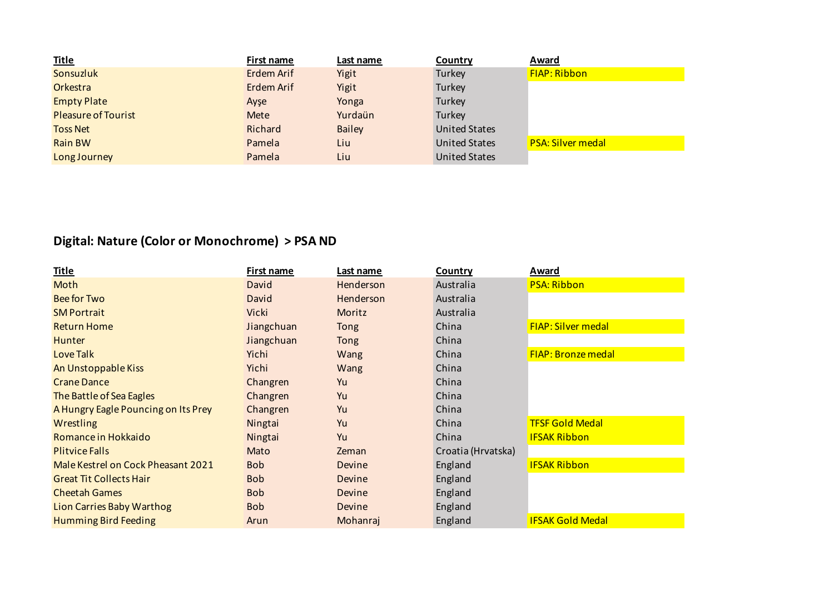| <b>Title</b>               | First name | Last name     | Country              | Award                    |
|----------------------------|------------|---------------|----------------------|--------------------------|
| Sonsuzluk                  | Erdem Arif | Yigit         | Turkey               | FIAP: Ribbon             |
| Orkestra                   | Erdem Arif | Yigit         | Turkey               |                          |
| <b>Empty Plate</b>         | Ayse       | Yonga         | Turkey               |                          |
| <b>Pleasure of Tourist</b> | Mete       | Yurdaün       | Turkey               |                          |
| <b>Toss Net</b>            | Richard    | <b>Bailey</b> | <b>United States</b> |                          |
| <b>Rain BW</b>             | Pamela     | Liu           | <b>United States</b> | <b>PSA: Silver medal</b> |
| Long Journey               | Pamela     | Liu           | <b>United States</b> |                          |

## **Digital: Nature (Color or Monochrome) > PSA ND**

| <u>Title</u>                        | First name | <u>Last name</u> | <b>Country</b>     | <u>Award</u>              |
|-------------------------------------|------------|------------------|--------------------|---------------------------|
| Moth                                | David      | Henderson        | Australia          | <b>PSA: Ribbon</b>        |
| <b>Bee for Two</b>                  | David      | Henderson        | Australia          |                           |
| <b>SM Portrait</b>                  | Vicki      | Moritz           | Australia          |                           |
| <b>Return Home</b>                  | Jiangchuan | Tong             | China              | <b>FIAP: Silver medal</b> |
| <b>Hunter</b>                       | Jiangchuan | <b>Tong</b>      | China              |                           |
| Love Talk                           | Yichi      | Wang             | China              | <b>FIAP: Bronze medal</b> |
| An Unstoppable Kiss                 | Yichi      | Wang             | China              |                           |
| <b>Crane Dance</b>                  | Changren   | Yu               | China              |                           |
| The Battle of Sea Eagles            | Changren   | Yu               | China              |                           |
| A Hungry Eagle Pouncing on Its Prey | Changren   | Yu               | China              |                           |
| Wrestling                           | Ningtai    | Yu               | China              | <b>TFSF Gold Medal</b>    |
| Romance in Hokkaido                 | Ningtai    | Yu               | China              | <b>IFSAK Ribbon</b>       |
| <b>Plitvice Falls</b>               | Mato       | Zeman            | Croatia (Hrvatska) |                           |
| Male Kestrel on Cock Pheasant 2021  | <b>Bob</b> | Devine           | England            | <b>IFSAK Ribbon</b>       |
| <b>Great Tit Collects Hair</b>      | <b>Bob</b> | Devine           | England            |                           |
| <b>Cheetah Games</b>                | <b>Bob</b> | <b>Devine</b>    | England            |                           |
| <b>Lion Carries Baby Warthog</b>    | <b>Bob</b> | Devine           | England            |                           |
| <b>Humming Bird Feeding</b>         | Arun       | Mohanraj         | England            | <b>IFSAK Gold Medal</b>   |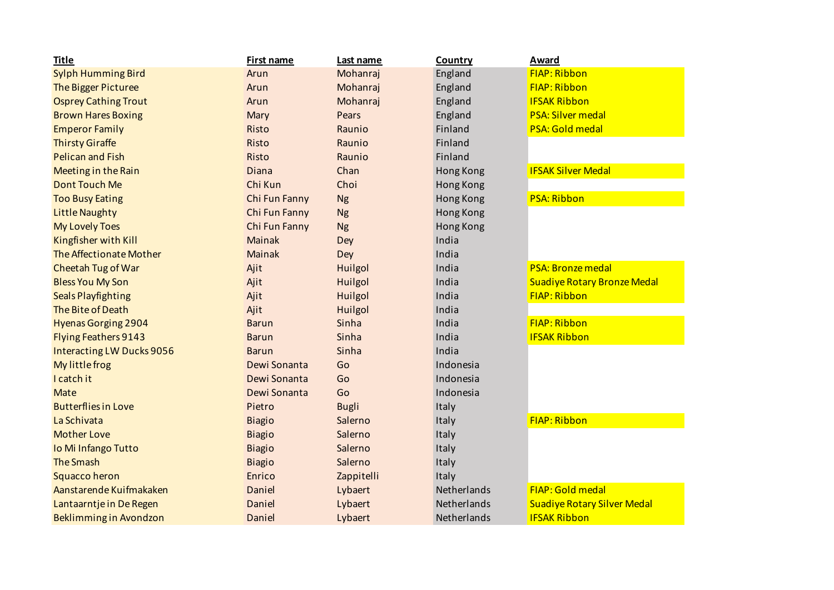| <b>Title</b>                   | <b>First name</b> | Last name    | <b>Country</b> | Award                              |
|--------------------------------|-------------------|--------------|----------------|------------------------------------|
| <b>Sylph Humming Bird</b>      | Arun              | Mohanraj     | England        | <b>FIAP: Ribbon</b>                |
| The Bigger Picturee            | Arun              | Mohanraj     | England        | <b>FIAP: Ribbon</b>                |
| <b>Osprey Cathing Trout</b>    | Arun              | Mohanraj     | England        | <b>IFSAK Ribbon</b>                |
| <b>Brown Hares Boxing</b>      | Mary              | Pears        | England        | <b>PSA: Silver medal</b>           |
| <b>Emperor Family</b>          | Risto             | Raunio       | Finland        | <b>PSA: Gold medal</b>             |
| <b>Thirsty Giraffe</b>         | Risto             | Raunio       | Finland        |                                    |
| <b>Pelican and Fish</b>        | Risto             | Raunio       | Finland        |                                    |
| <b>Meeting in the Rain</b>     | Diana             | Chan         | Hong Kong      | <b>IFSAK Silver Medal</b>          |
| <b>Dont Touch Me</b>           | Chi Kun           | Choi         | Hong Kong      |                                    |
| <b>Too Busy Eating</b>         | Chi Fun Fanny     | <b>Ng</b>    | Hong Kong      | <b>PSA: Ribbon</b>                 |
| <b>Little Naughty</b>          | Chi Fun Fanny     | <b>Ng</b>    | Hong Kong      |                                    |
| <b>My Lovely Toes</b>          | Chi Fun Fanny     | <b>Ng</b>    | Hong Kong      |                                    |
| Kingfisher with Kill           | <b>Mainak</b>     | Dey          | India          |                                    |
| <b>The Affectionate Mother</b> | <b>Mainak</b>     | Dey          | India          |                                    |
| Cheetah Tug of War             | Ajit              | Huilgol      | India          | <b>PSA: Bronze medal</b>           |
| <b>Bless You My Son</b>        | Ajit              | Huilgol      | India          | <b>Suadiye Rotary Bronze Medal</b> |
| <b>Seals Playfighting</b>      | Ajit              | Huilgol      | India          | <b>FIAP: Ribbon</b>                |
| The Bite of Death              | Ajit              | Huilgol      | India          |                                    |
| <b>Hyenas Gorging 2904</b>     | <b>Barun</b>      | Sinha        | India          | <b>FIAP: Ribbon</b>                |
| <b>Flying Feathers 9143</b>    | <b>Barun</b>      | Sinha        | India          | <b>IFSAK Ribbon</b>                |
| Interacting LW Ducks 9056      | <b>Barun</b>      | Sinha        | India          |                                    |
| My little frog                 | Dewi Sonanta      | Go           | Indonesia      |                                    |
| I catch it                     | Dewi Sonanta      | Go           | Indonesia      |                                    |
| <b>Mate</b>                    | Dewi Sonanta      | Go           | Indonesia      |                                    |
| <b>Butterflies in Love</b>     | Pietro            | <b>Bugli</b> | Italy          |                                    |
| La Schivata                    | <b>Biagio</b>     | Salerno      | Italy          | <b>FIAP: Ribbon</b>                |
| <b>Mother Love</b>             | <b>Biagio</b>     | Salerno      | Italy          |                                    |
| Io Mi Infango Tutto            | <b>Biagio</b>     | Salerno      | Italy          |                                    |
| <b>The Smash</b>               | <b>Biagio</b>     | Salerno      | Italy          |                                    |
| <b>Squacco heron</b>           | Enrico            | Zappitelli   | Italy          |                                    |
| Aanstarende Kuifmakaken        | Daniel            | Lybaert      | Netherlands    | FIAP: Gold medal                   |
| Lantaarntje in De Regen        | Daniel            | Lybaert      | Netherlands    | <b>Suadiye Rotary Silver Medal</b> |
| Beklimming in Avondzon         | Daniel            | Lybaert      | Netherlands    | <b>IFSAK Ribbon</b>                |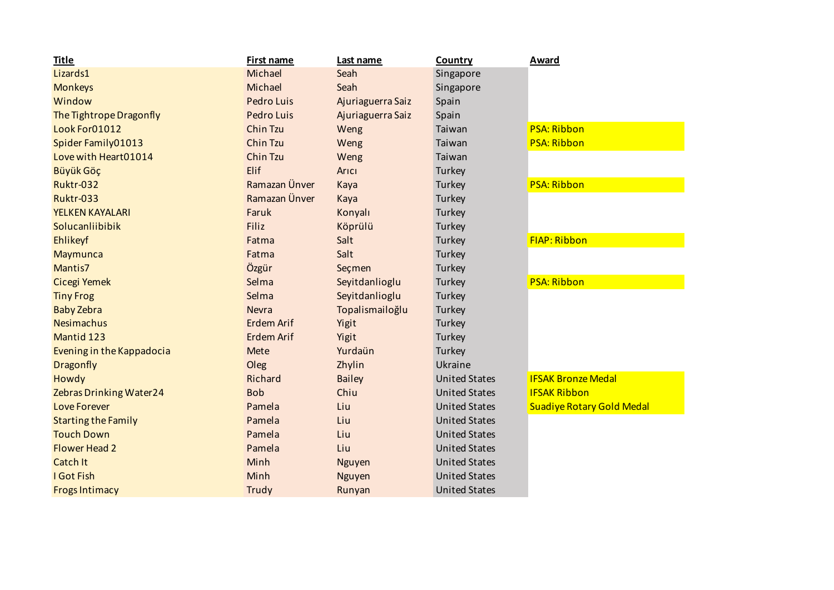| <b>Title</b>               | First name        | Last name         | <b>Country</b>       | <b>Award</b>                     |
|----------------------------|-------------------|-------------------|----------------------|----------------------------------|
| Lizards1                   | Michael           | Seah              | Singapore            |                                  |
| <b>Monkeys</b>             | Michael           | Seah              | Singapore            |                                  |
| Window                     | <b>Pedro Luis</b> | Ajuriaguerra Saiz | Spain                |                                  |
| The Tightrope Dragonfly    | Pedro Luis        | Ajuriaguerra Saiz | Spain                |                                  |
| Look For01012              | <b>Chin Tzu</b>   | Weng              | Taiwan               | <b>PSA: Ribbon</b>               |
| Spider Family01013         | Chin Tzu          | Weng              | Taiwan               | <b>PSA: Ribbon</b>               |
| Love with Heart01014       | Chin Tzu          | Weng              | Taiwan               |                                  |
| Büyük Göç                  | Elif              | Arici             | Turkey               |                                  |
| <b>Ruktr-032</b>           | Ramazan Ünver     | Kaya              | Turkey               | <b>PSA: Ribbon</b>               |
| <b>Ruktr-033</b>           | Ramazan Ünver     | Kaya              | Turkey               |                                  |
| YELKEN KAYALARI            | Faruk             | Konyalı           | Turkey               |                                  |
| Solucanliibibik            | <b>Filiz</b>      | Köprülü           | Turkey               |                                  |
| Ehlikeyf                   | Fatma             | Salt              | Turkey               | <b>FIAP: Ribbon</b>              |
| <b>Maymunca</b>            | Fatma             | Salt              | Turkey               |                                  |
| Mantis7                    | Özgür             | Seçmen            | Turkey               |                                  |
| Cicegi Yemek               | Selma             | Seyitdanlioglu    | Turkey               | <b>PSA: Ribbon</b>               |
| <b>Tiny Frog</b>           | Selma             | Seyitdanlioglu    | Turkey               |                                  |
| <b>Baby Zebra</b>          | <b>Nevra</b>      | Topalismailoğlu   | Turkey               |                                  |
| <b>Nesimachus</b>          | <b>Erdem Arif</b> | Yigit             | Turkey               |                                  |
| Mantid 123                 | <b>Erdem Arif</b> | Yigit             | Turkey               |                                  |
| Evening in the Kappadocia  | Mete              | Yurdaün           | Turkey               |                                  |
| Dragonfly                  | Oleg              | Zhylin            | Ukraine              |                                  |
| Howdy                      | Richard           | <b>Bailey</b>     | <b>United States</b> | <b>IFSAK Bronze Medal</b>        |
| Zebras Drinking Water24    | <b>Bob</b>        | Chiu              | <b>United States</b> | <b>IFSAK Ribbon</b>              |
| <b>Love Forever</b>        | Pamela            | Liu               | <b>United States</b> | <b>Suadiye Rotary Gold Medal</b> |
| <b>Starting the Family</b> | Pamela            | Liu               | <b>United States</b> |                                  |
| <b>Touch Down</b>          | Pamela            | Liu               | <b>United States</b> |                                  |
| <b>Flower Head 2</b>       | Pamela            | Liu               | <b>United States</b> |                                  |
| <b>Catch It</b>            | Minh              | <b>Nguyen</b>     | <b>United States</b> |                                  |
| I Got Fish                 | Minh              | <b>Nguyen</b>     | <b>United States</b> |                                  |
| <b>Frogs Intimacy</b>      | Trudy             | Runyan            | <b>United States</b> |                                  |